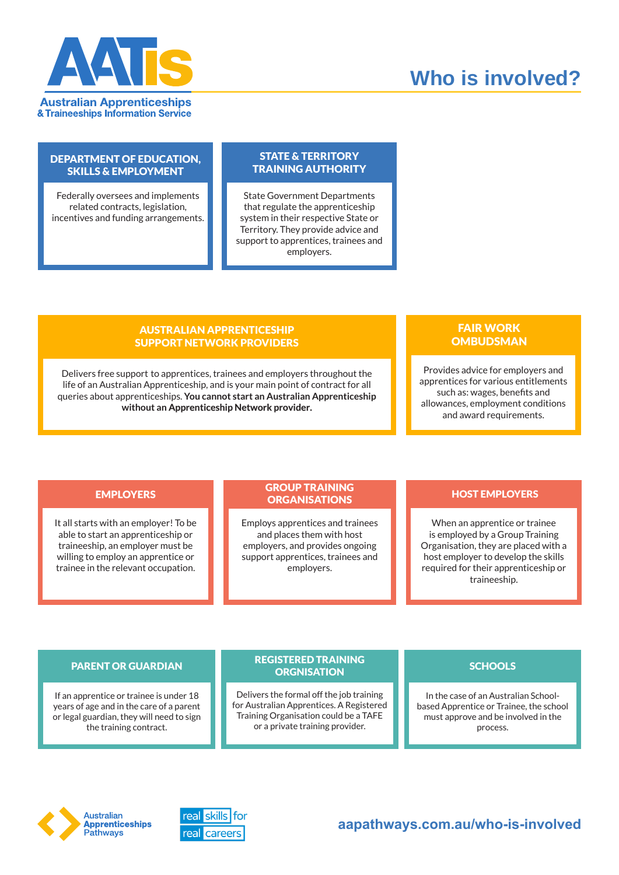

# **Who is involved?**

## DEPARTMENT OF EDUCATION, SKILLS & EMPLOYMENT

Federally oversees and implements related contracts, legislation, incentives and funding arrangements.

## STATE & TERRITORY TRAINING AUTHORITY

State Government Departments that regulate the apprenticeship system in their respective State or Territory. They provide advice and support to apprentices, trainees and employers.

# AUSTRALIAN APPRENTICESHIP SUPPORT NETWORK PROVIDERS

Delivers free support to apprentices, trainees and employers throughout the life of an Australian Apprenticeship, and is your main point of contract for all queries about apprenticeships. **You cannot start an Australian Apprenticeship without an Apprenticeship Network provider.**

# FAIR WORK **OMBUDSMAN**

Provides advice for employers and apprentices for various entitlements such as: wages, benefits and allowances, employment conditions and award requirements.

It all starts with an employer! To be able to start an apprenticeship or traineeship, an employer must be willing to employ an apprentice or trainee in the relevant occupation.

## EMPLOYERS GROUP INAINING TO HOST EMPLOYERS GROUP TRAINING **ORGANISATIONS**

Employs apprentices and trainees and places them with host employers, and provides ongoing support apprentices, trainees and employers.

When an apprentice or trainee is employed by a Group Training Organisation, they are placed with a host employer to develop the skills required for their apprenticeship or traineeship.

If an apprentice or trainee is under 18 years of age and in the care of a parent or legal guardian, they will need to sign the training contract.

## PARENT OR GUARDIAN SCHOOLS SCHOOLS REGISTERED TRAINING **ORGNISATION**

Delivers the formal off the job training for Australian Apprentices. A Registered Training Organisation could be a TAFE or a private training provider.

In the case of an Australian Schoolbased Apprentice or Trainee, the school must approve and be involved in the process.



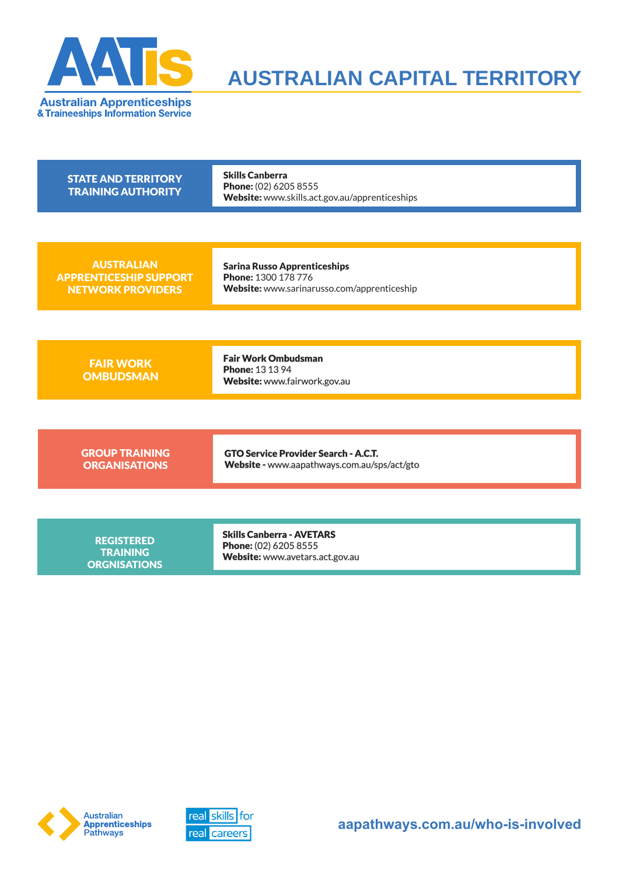

# **AUSTRALIAN CAPITAL TERRITORY**

| <b>STATE AND TERRITORY</b><br><b>TRAINING AUTHORITY</b>                        | <b>Skills Canberra</b><br>Phone: (02) 6205 8555<br>Website: www.skills.act.gov.au/apprenticeships         |
|--------------------------------------------------------------------------------|-----------------------------------------------------------------------------------------------------------|
|                                                                                |                                                                                                           |
| <b>AUSTRALIAN</b><br><b>APPRENTICESHIP SUPPORT</b><br><b>NETWORK PROVIDERS</b> | <b>Sarina Russo Apprenticeships</b><br>Phone: 1300 178 776<br>Website: www.sarinarusso.com/apprenticeship |
|                                                                                |                                                                                                           |
| <b>FAIR WORK</b><br><b>OMBUDSMAN</b>                                           | <b>Fair Work Ombudsman</b><br><b>Phone: 13 13 94</b><br>Website: www.fairwork.gov.au                      |
|                                                                                |                                                                                                           |
| <b>GROUP TRAINING</b><br><b>ORGANISATIONS</b>                                  | <b>GTO Service Provider Search - A.C.T.</b><br>Website - www.aapathways.com.au/sps/act/gto                |
|                                                                                |                                                                                                           |
| <b>REGISTERED</b><br><b>TRAINING</b><br><b>ORGNISATIONS</b>                    | <b>Skills Canberra - AVETARS</b><br>Phone: (02) 6205 8555<br>Website: www.avetars.act.gov.au              |



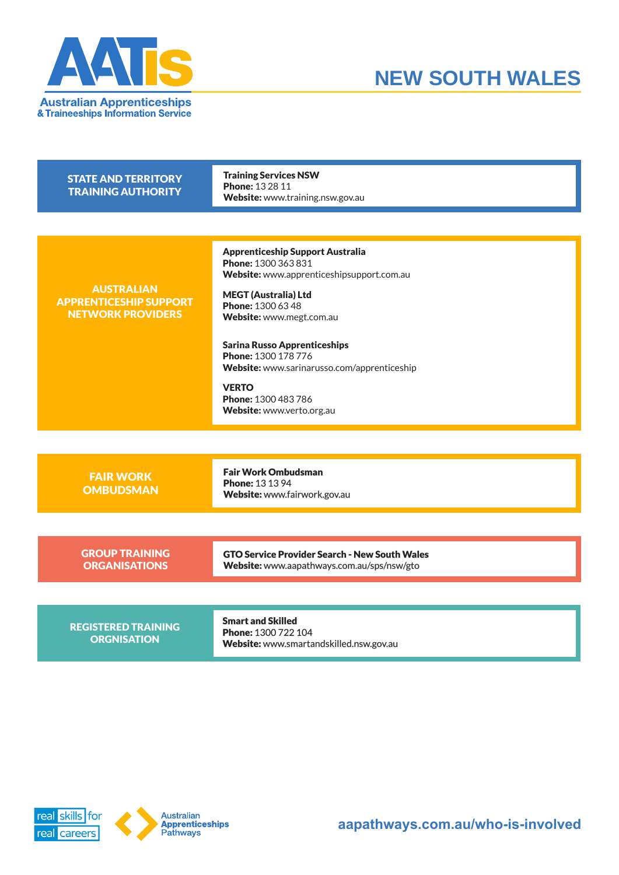



| <b>STATE AND TERRITORY</b><br><b>TRAINING AUTHORITY</b>                        | <b>Training Services NSW</b><br><b>Phone: 132811</b><br>Website: www.training.nsw.gov.au                                                                                                                                                                                                                                                                                     |
|--------------------------------------------------------------------------------|------------------------------------------------------------------------------------------------------------------------------------------------------------------------------------------------------------------------------------------------------------------------------------------------------------------------------------------------------------------------------|
|                                                                                |                                                                                                                                                                                                                                                                                                                                                                              |
| <b>AUSTRALIAN</b><br><b>APPRENTICESHIP SUPPORT</b><br><b>NETWORK PROVIDERS</b> | <b>Apprenticeship Support Australia</b><br>Phone: 1300 363 831<br>Website: www.apprenticeshipsupport.com.au<br><b>MEGT (Australia) Ltd</b><br>Phone: 1300 63 48<br>Website: www.megt.com.au<br><b>Sarina Russo Apprenticeships</b><br>Phone: 1300 178 776<br>Website: www.sarinarusso.com/apprenticeship<br><b>VERTO</b><br>Phone: 1300 483 786<br>Website: www.verto.org.au |
|                                                                                |                                                                                                                                                                                                                                                                                                                                                                              |
| <b>FAIR WORK</b><br><b>OMBUDSMAN</b>                                           | <b>Fair Work Ombudsman</b><br><b>Phone: 13 13 94</b><br>Website: www.fairwork.gov.au                                                                                                                                                                                                                                                                                         |
|                                                                                |                                                                                                                                                                                                                                                                                                                                                                              |
| <b>GROUP TRAINING</b><br><b>ORGANISATIONS</b>                                  | <b>GTO Service Provider Search - New South Wales</b><br>Website: www.aapathways.com.au/sps/nsw/gto                                                                                                                                                                                                                                                                           |
|                                                                                |                                                                                                                                                                                                                                                                                                                                                                              |
| <b>REGISTERED TRAINING</b><br><b>ORGNISATION</b>                               | <b>Smart and Skilled</b><br>Phone: 1300 722 104<br>Website: www.smartandskilled.nsw.gov.au                                                                                                                                                                                                                                                                                   |



**aapathways.com.au/who-is-involved**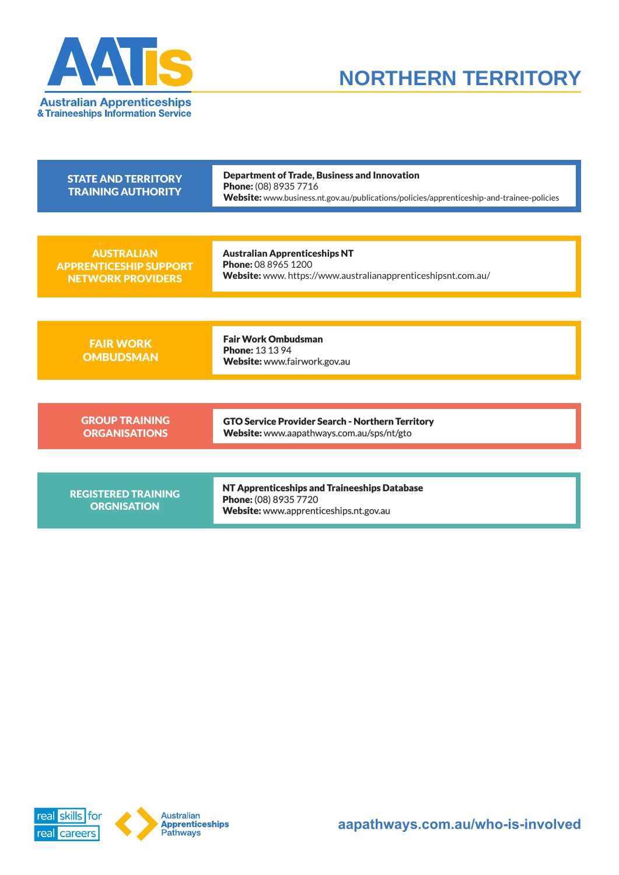



| <b>STATE AND TERRITORY</b><br><b>TRAINING AUTHORITY</b>                        | <b>Department of Trade, Business and Innovation</b><br>Phone: (08) 8935 7716<br>Website: www.business.nt.gov.au/publications/policies/apprenticeship-and-trainee-policies |
|--------------------------------------------------------------------------------|---------------------------------------------------------------------------------------------------------------------------------------------------------------------------|
|                                                                                |                                                                                                                                                                           |
| <b>AUSTRALIAN</b><br><b>APPRENTICESHIP SUPPORT</b><br><b>NETWORK PROVIDERS</b> | <b>Australian Apprenticeships NT</b><br>Phone: 08 8965 1200<br>Website: www. https://www.australianapprenticeshipsnt.com.au/                                              |
|                                                                                |                                                                                                                                                                           |
| <b>FAIR WORK</b><br><b>OMBUDSMAN</b>                                           | <b>Fair Work Ombudsman</b><br><b>Phone: 13 13 94</b><br>Website: www.fairwork.gov.au                                                                                      |
|                                                                                |                                                                                                                                                                           |
| <b>GROUP TRAINING</b><br><b>ORGANISATIONS</b>                                  | <b>GTO Service Provider Search - Northern Territory</b><br>Website: www.aapathways.com.au/sps/nt/gto                                                                      |
|                                                                                |                                                                                                                                                                           |
| <b>REGISTERED TRAINING</b><br><b>ORGNISATION</b>                               | NT Apprenticeships and Traineeships Database<br>Phone: (08) 8935 7720<br>Website: www.apprenticeships.nt.gov.au                                                           |

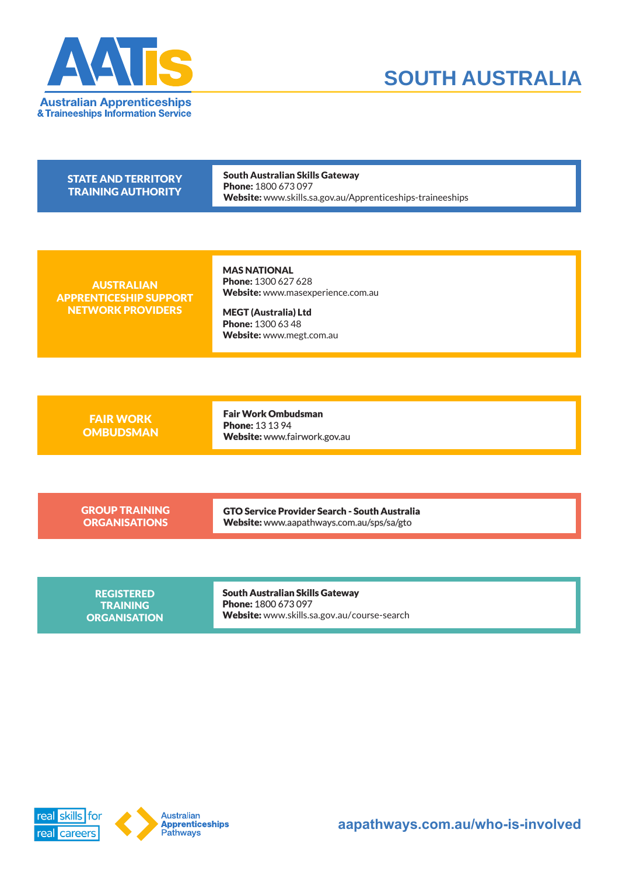



| <b>STATE AND TERRITORY</b><br><b>TRAINING AUTHORITY</b>                        | South Australian Skills Gateway<br><b>Phone: 1800 673 097</b><br><b>Website:</b> www.skills.sa.gov.au/Apprenticeships-traineeships         |
|--------------------------------------------------------------------------------|--------------------------------------------------------------------------------------------------------------------------------------------|
| <b>AUSTRALIAN</b><br><b>APPRENTICESHIP SUPPORT</b><br><b>NETWORK PROVIDERS</b> | <b>MAS NATIONAL</b><br>Phone: 1300 627 628<br>Website: www.masexperience.com.au<br><b>MEGT (Australia) Ltd</b><br><b>Phone: 1300 63 48</b> |
| <b>FAIR WORK</b><br><b>OMBUDSMAN</b>                                           | Website: www.megt.com.au<br><b>Fair Work Ombudsman</b><br><b>Phone: 13 13 94</b><br>Waheita: www.fainwork.cov.au                           |

Website: www.fairwork.gov.au

GROUP TRAINING **ORGANISATIONS** 

GTO Service Provider Search - South Australia Website: www.aapathways.com.au/sps/sa/gto

REGISTERED **TRAINING** ORG**A**NISATION South Australian Skills Gateway Phone: 1800 673 097 Website: www.skills.sa.gov.au/course-search

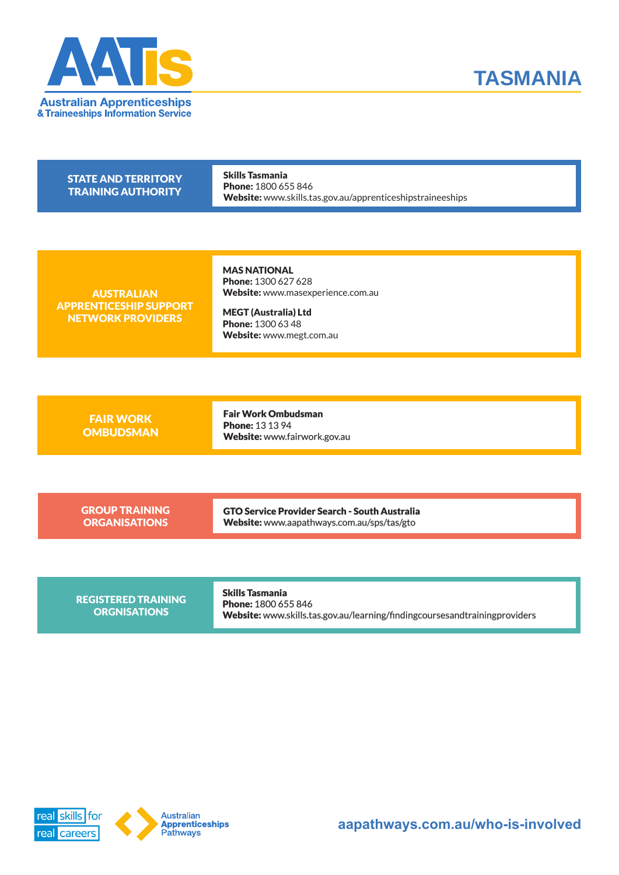



| <b>STATE AND TERRITORY</b><br><b>TRAINING AUTHORITY</b>                        | <b>Skills Tasmania</b><br>Phone: 1800 655 846<br>Website: www.skills.tas.gov.au/apprenticeshipstraineeships                                                     |
|--------------------------------------------------------------------------------|-----------------------------------------------------------------------------------------------------------------------------------------------------------------|
|                                                                                |                                                                                                                                                                 |
| <b>AUSTRALIAN</b><br><b>APPRENTICESHIP SUPPORT</b><br><b>NETWORK PROVIDERS</b> | <b>MAS NATIONAL</b><br>Phone: 1300 627 628<br>Website: www.masexperience.com.au<br><b>MEGT (Australia) Ltd</b><br>Phone: 1300 63 48<br>Website: www.megt.com.au |
|                                                                                |                                                                                                                                                                 |
| <b>FAIR WORK</b><br><b>OMBUDSMAN</b>                                           | <b>Fair Work Ombudsman</b><br><b>Phone: 13 13 94</b><br>Website: www.fairwork.gov.au                                                                            |
|                                                                                |                                                                                                                                                                 |
| <b>GROUP TRAINING</b><br><b>ORGANISATIONS</b>                                  | <b>GTO Service Provider Search - South Australia</b><br>Website: www.aapathways.com.au/sps/tas/gto                                                              |
|                                                                                |                                                                                                                                                                 |
|                                                                                |                                                                                                                                                                 |

REGISTERED TRAINING **ORGNISATIONS** 

Skills Tasmania Phone: 1800 655 846 Website: www.skills.tas.gov.au/learning/findingcoursesandtrainingproviders

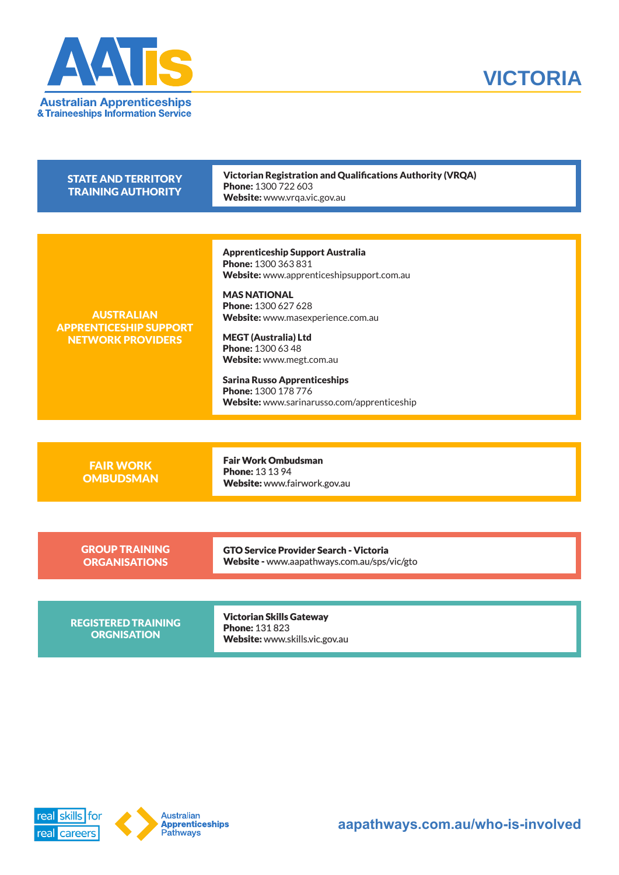



| <b>STATE AND TERRITORY</b><br><b>TRAINING AUTHORITY</b>                        | <b>Victorian Registration and Qualifications Authority (VRQA)</b><br>Phone: 1300 722 603<br>Website: www.vrqa.vic.gov.au                                                                                                                                                                                                                                                                    |
|--------------------------------------------------------------------------------|---------------------------------------------------------------------------------------------------------------------------------------------------------------------------------------------------------------------------------------------------------------------------------------------------------------------------------------------------------------------------------------------|
|                                                                                |                                                                                                                                                                                                                                                                                                                                                                                             |
| <b>AUSTRALIAN</b><br><b>APPRENTICESHIP SUPPORT</b><br><b>NETWORK PROVIDERS</b> | <b>Apprenticeship Support Australia</b><br>Phone: 1300 363 831<br>Website: www.apprenticeshipsupport.com.au<br><b>MAS NATIONAL</b><br>Phone: 1300 627 628<br>Website: www.masexperience.com.au<br><b>MEGT (Australia) Ltd</b><br>Phone: 1300 63 48<br>Website: www.megt.com.au<br><b>Sarina Russo Apprenticeships</b><br>Phone: 1300 178 776<br>Website: www.sarinarusso.com/apprenticeship |
|                                                                                |                                                                                                                                                                                                                                                                                                                                                                                             |
| <b>FAIR WORK</b><br><b>OMBUDSMAN</b>                                           | <b>Fair Work Ombudsman</b><br><b>Phone: 13 13 94</b><br>Website: www.fairwork.gov.au                                                                                                                                                                                                                                                                                                        |
|                                                                                |                                                                                                                                                                                                                                                                                                                                                                                             |
| <b>GROUP TRAINING</b><br><b>ORGANISATIONS</b>                                  | <b>GTO Service Provider Search - Victoria</b><br>Website - www.aapathways.com.au/sps/vic/gto                                                                                                                                                                                                                                                                                                |
|                                                                                |                                                                                                                                                                                                                                                                                                                                                                                             |
| <b>REGISTERED TRAINING</b><br><b>ORGNISATION</b>                               | <b>Victorian Skills Gateway</b><br><b>Phone: 131823</b><br>Website: www.skills.vic.gov.au                                                                                                                                                                                                                                                                                                   |